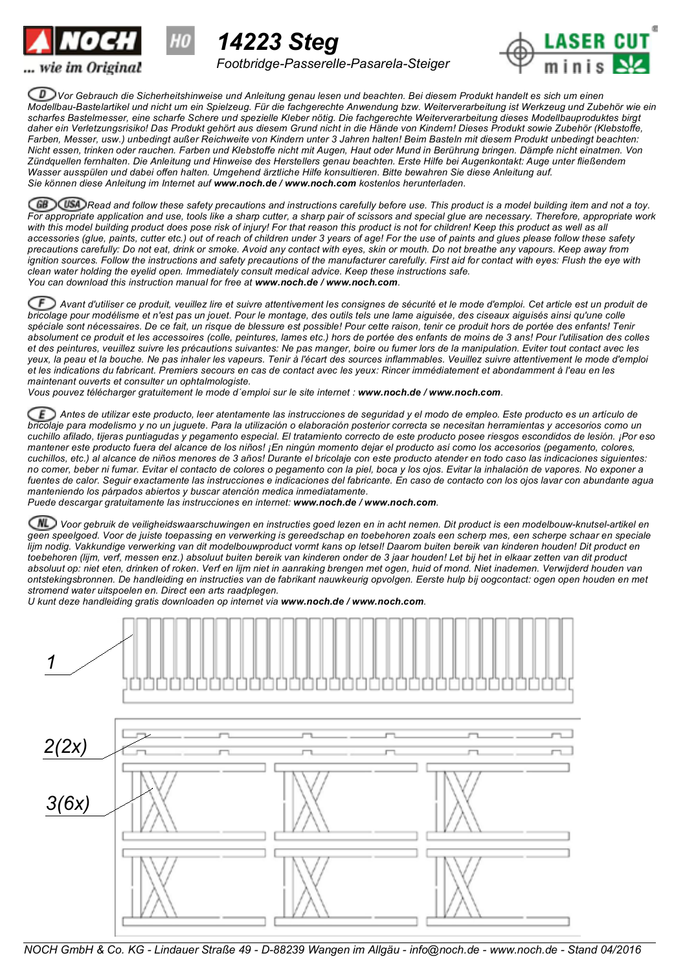



*Footbridge-Passerelle-Pasarela-Steiger*

*14223 Steg*



Vor Gebrauch die Sicherheitshinweise und Anleitung genau lesen und beachten. Bei diesem Produkt handelt es sich um einen Modellbau-Bastelartikel und nicht um ein Spielzeug. Für die fachgerechte Anwendung bzw. Weiterverarbeitung ist Werkzeug und Zubehör wie ein scharfes Bastelmesser, eine scharfe Schere und spezielle Kleber nötig. Die fachgerechte Weiterverarbeitung dieses Modellbauproduktes birgt daher ein Verletzungsrisiko! Das Produkt gehört aus diesem Grund nicht in die Hände von Kindern! Dieses Produkt sowie Zubehör (Klebstoffe, Farben, Messer, usw.) unbedingt außer Reichweite von Kindern unter 3 Jahren halten! Beim Basteln mit diesem Produkt unbedingt beachten: Nicht essen, trinken oder rauchen. Farben und Klebstoffe nicht mit Augen, Haut oder Mund in Berührung bringen. Dämpfe nicht einatmen. Von Zündquellen fernhalten. Die Anleitung und Hinweise des Herstellers genau beachten. Erste Hilfe bei Augenkontakt: Auge unter fließendem Wasser ausspülen und dabei offen halten. Umgehend ärztliche Hilfe konsultieren. Bitte bewahren Sie diese Anleitung auf. *Sie können diese Anleitung im Internet auf www.noch.de / www.noch.com kostenlos herunterladen.*

 $\chi$ USA) Read and follow these safety precautions and instructions carefully before use. This product is a model building item and not a toy. For appropriate application and use, tools like a sharp cutter, a sharp pair of scissors and special glue are necessary. Therefore, appropriate work with this model building product does pose risk of injury! For that reason this product is not for children! Keep this product as well as all accessories (glue, paints, cutter etc.) out of reach of children under 3 years of age! For the use of paints and glues please follow these safety precautions carefully. Do not eat, drink or smoke. Avoid any contact with eyes, skin or mouth. Do not breathe any vapours. Keep away from ignition sources. Follow the instructions and safety precautions of the manufacturer carefully. First aid for contact with eyes: Flush the eye with *clean water holding the eyelid open. Immediately consult medical advice. Keep these instructions safe. You can download this instruction manual for free at www.noch.de / www.noch.com.*

CF Avant d'utiliser ce produit, veuillez lire et suivre attentivement les consignes de sécurité et le mode d'emploi. Cet article est un produit de bricolage pour modélisme et n'est pas un jouet. Pour le montage, des outils tels une lame aiguisée, des ciseaux aiguisés ainsi qu'une colle spéciale sont nécessaires. De ce fait, un risque de blessure est possible! Pour cette raison, tenir ce produit hors de portée des enfants! Tenir absolument ce produit et les accessoires (colle, peintures, lames etc.) hors de portée des enfants de moins de 3 ans! Pour l'utilisation des colles et des peintures, veuillez suivre les précautions suivantes. Ne pas manger, boire ou fumer lors de la manipulation. Eviter tout contact avec les yeux, la peau et la bouche. Ne pas inhaler les vapeurs. Tenir à l'écart des sources inflammables. Veuillez suivre attentivement le mode d'emploi et les indications du fabricant. Premiers secours en cas de contact avec les yeux: Rincer immédiatement et abondamment à l'eau en les *maintenant ouverts et consulter un ophtalmologiste.*

*Vous pouvez télécharger gratuitement le mode d´emploi sur le site internet : www.noch.de / www.noch.com.*

Ε Antes de utilizar este producto, leer atentamente las instrucciones de seguridad y el modo de empleo. Este producto es un artículo de bricolaje para modelismo y no un juguete. Para la utilización o elaboración posterior correcta se necesitan herramientas y accesorios como un cuchillo afilado, tijeras puntiagudas y pegamento especial. El tratamiento correcto de este producto posee riesgos escondidos de lesión. ¡Por eso mantener este producto fuera del alcance de los niños! ¡En ningún momento dejar el producto así como los accesorios (pegamento, colores, cuchillos, etc.) al alcance de niños menores de 3 años! Durante el bricolaje con este producto atender en todo caso las indicaciones siguientes: no comer, beber ni fumar. Evitar el contacto de colores o pegamento con la piel, boca y los ojos. Evitar la inhalación de vapores. No exponer a fuentes de calor. Seguir exactamente las instrucciones e indicaciones del fabricante. En caso de contacto con los ojos lavar con abundante agua *manteniendo los párpados abiertos y buscar atención medica inmediatamente.*

*Puede descargar gratuitamente las instrucciones en internet: www.noch.de / www.noch.com.*

Voor gebruik de veiligheidswaarschuwingen en instructies goed lezen en in acht nemen. Dit product is een modelbouw-knutsel-artikel en geen speelgoed. Voor de juiste toepassing en verwerking is gereedschap en toebehoren zoals een scherp mes, een scherpe schaar en speciale lijm nodig. Vakkundige verwerking van dit modelbouwproduct vormt kans op letsel! Daarom buiten bereik van kinderen houden! Dit product en toebehoren (lijm, verf, messen enz.) absoluut buiten bereik van kinderen onder de 3 jaar houden! Let bij het in elkaar zetten van dit product absoluut op: niet eten, drinken of roken. Verf en lijm niet in aanraking brengen met ogen, huid of mond. Niet inademen. Verwijderd houden van ontstekingsbronnen. De handleiding en instructies van de fabrikant nauwkeurig opvolgen. Eerste hulp bij oogcontact: ogen open houden en met *stromend water uitspoelen en. Direct een arts raadplegen.*

*U kunt deze handleiding gratis downloaden op internet via www.noch.de / www.noch.com.*



NOCH GmbH & Co. KG - Lindauer Straße 49 - D-88239 Wangen im Allgäu - info@noch.de - www.noch.de - Stand 04/2016